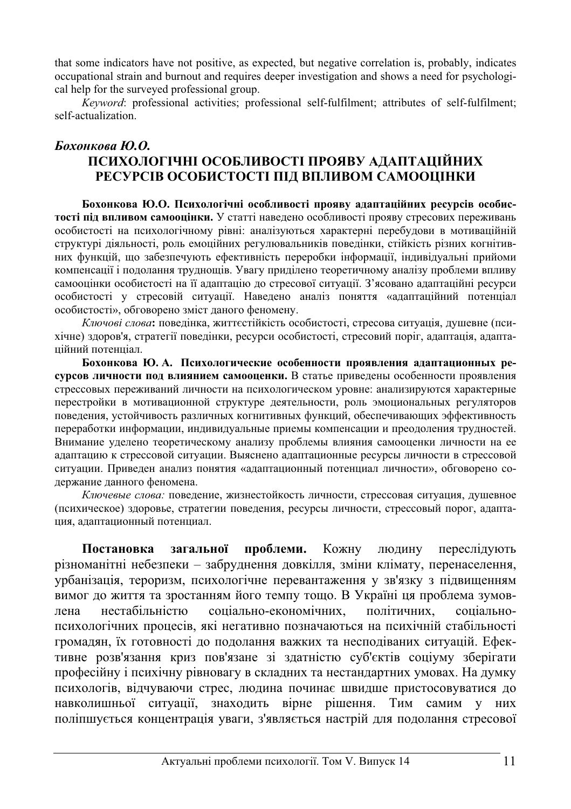that some indicators have not positive, as expected, but negative correlation is, probably, indicates occupational strain and burnout and requires deeper investigation and shows a need for psychological help for the surveyed professional group.

*Keyword*: professional activities; professional self-fulfilment; attributes of self-fulfilment; self-actualization.

## $6x^2 + 2y^2 = 6$

## ПСИХОЛОГІЧНІ ОСОБЛИВОСТІ ПРОЯВУ АДАПТАЦІЙНИХ РЕСУРСІВ ОСОБИСТОСТІ ПІД ВПЛИВОМ САМООЦІНКИ

Бохонкова Ю.О. Психологічні особливості прояву адаптаційних ресурсів особис**тості під впливом самооцінки.** У статті наведено особливості прояву стресових переживань особистості на психологічному рівні: аналізуються характерні перебудови в мотиваційній структурі діяльності, роль емоційних регулювальників поведінки, стійкість різних когнітивних функцій, що забезпечують ефективність переробки інформації, індивідуальні прийоми компенсації і подолання труднощів. Увагу приділено теоретичному аналізу проблеми впливу самооцінки особистості на її адаптацію до стресової ситуації. З'ясовано адаптаційні ресурси особистості у стресовій ситуації. Наведено аналіз поняття «адаптаційний потенціал особистості», обговорено зміст даного феномену.

Ключові слова: поведінка, життєстійкість особистості, стресова ситуація, душевне (психічне) здоров'я, стратегії поведінки, ресурси особистості, стресовий поріг, адаптація, адаптаційний потенціал.

Бохонкова Ю.А. Психологические особенности проявления адаптационных ресурсов личности под влиянием самооценки. В статье приведены особенности проявления стрессовых переживаний личности на психологическом уровне: анализируются характерные перестройки в мотивационной структуре деятельности, роль эмоциональных регуляторов поведения, устойчивость различных когнитивных функций, обеспечивающих эффективность переработки информации, индивидуальные приемы компенсации и преодоления трудностей. Внимание уделено теоретическому анализу проблемы влияния самооценки личности на ее адаптацию к стрессовой ситуации. Выяснено адаптационные ресурсы личности в стрессовой ситуации. Приведен анализ понятия «адаптационный потенциал личности», обговорено содержание данного феномена.

Ключевые слова: поведение, жизнестойкость личности, стрессовая ситуация, душевное (психическое) здоровье, стратегии поведения, ресурсы личности, стрессовый порог, адаптация, адаптационный потенциал.

Постановка загальної проблеми. Кожну людину переслідують різноманітні небезпеки – забруднення довкілля, зміни клімату, перенаселення, урбанізація, тероризм, психологічне перевантаження у зв'язку з підвищенням вимог до життя та зростанням його темпу тощо. В Україні ця проблема зумовлена нестабільністю соціально-економічних, політичних, соціальнопсихологічних процесів, які негативно позначаються на психічній стабільності громадян, їх готовності до подолання важких та несподіваних ситуацій. Ефективне розв'язання криз пов'язане зі здатністю суб'єктів соціуму зберігати професійну і психічну рівновагу в складних та нестандартних умовах. На думку психологів, відчуваючи стрес, людина починає швидше пристосовуватися до навколишньої ситуації, знаходить вірне рішення. Тим самим у них поліпшується концентрація уваги, з'являється настрій для подолання стресової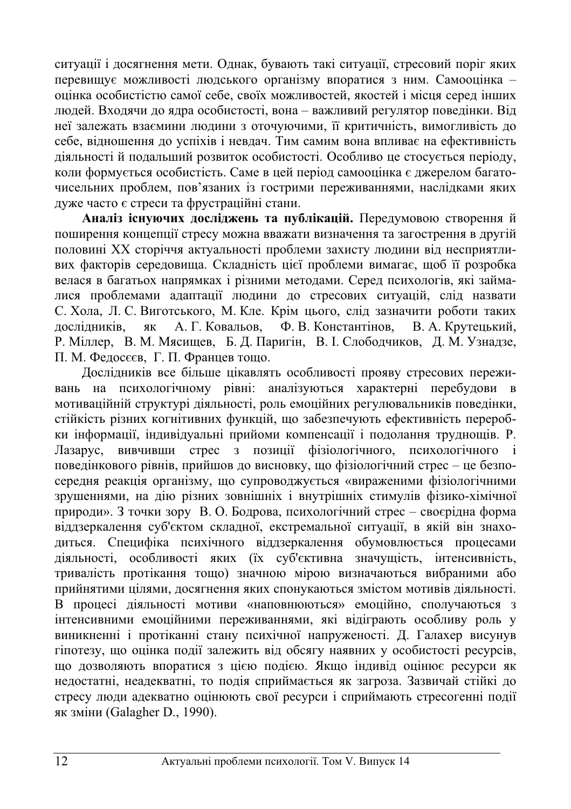ситуації і досягнення мети. Однак, бувають такі ситуації, стресовий поріг яких перевищує можливості людського організму впоратися з ним. Самооцінка – оцінка особистістю самої себе, своїх можливостей, якостей і місця серед інших людей. Входячи до ядра особистості, вона – важливий регулятор поведінки. Від неї залежать взаємини людини з оточуючими, її критичність, вимогливість до себе, відношення до успіхів і невдач. Тим самим вона впливає на ефективність діяльності й подальший розвиток особистості. Особливо це стосується періоду, коли формується особистість. Саме в цей період самооцінка є джерелом багаточисельних проблем, пов'язаних із гострими переживаннями, наслідками яких дуже часто  $\epsilon$  стреси та фрустраційні стани.

Аналіз існуючих досліджень та публікацій. Передумовою створення й поширення концепції стресу можна вважати визначення та загострення в другій половині XX сторіччя актуальності проблеми захисту людини від несприятливих факторів середовища. Складність цієї проблеми вимагає, щоб її розробка велася в багатьох напрямках і різними методами. Серед психологів, які займалися проблемами адаптації людини до стресових ситуацій, слід назвати С. Хола, Л. С. Виготського, М. Кле. Крім цього, слід зазначити роботи таких дослідників, як А. Г. Ковальов, Ф. В. Константінов, В. А. Крутецький, Р. Міллер, В. М. Мясищев, Б. Д. Паригін, В. І. Слободчиков, Д. М. Узнадзе, П. М. Фелосєєв. Г. П. Францев тощо.

Дослідників все більше цікавлять особливості прояву стресових переживань на психологічному рівні: аналізуються характерні перебудови в мотиваційній структурі діяльності, роль емоційних регулювальників поведінки, стійкість різних когнітивних функцій, що забезпечують ефективність переробки інформації, індивідуальні прийоми компенсації і подолання труднощів. Р. Лазарус, вивчивши стрес з позиції фізіологічного, психологічного і поведінкового рівнів, прийшов до висновку, що фізіологічний стрес – це безпосередня реакція організму, що супроводжується «вираженими фізіологічними зрушеннями, на дію різних зовнішніх і внутрішніх стимулів фізико-хімічної природи». З точки зору В. О. Бодрова, психологічний стрес – своєрідна форма віддзеркалення суб'єктом складної, екстремальної ситуації, в якій він знаходиться. Специфіка психічного віддзеркалення обумовлюється процесами діяльності, особливості яких (їх суб'єктивна значущість, інтенсивність, тривалість протікання тощо) значною мірою визначаються вибраними або прийнятими цілями, досягнення яких спонукаються змістом мотивів діяльності. В процесі діяльності мотиви «наповнюються» емоційно, сполучаються з інтенсивними емоційними переживаннями, які відіграють особливу роль у виникненні і протіканні стану психічної напруженості. Д. Галахер висунув гіпотезу, що оцінка події залежить від обсягу наявних у особистості ресурсів, що дозволяють впоратися з цією подією. Якщо індивід оцінює ресурси як недостатні, неадекватні, то подія сприймається як загроза. Зазвичай стійкі до стресу люди адекватно оцінюють свої ресурси і сприймають стресогенні події як зміни (Galagher D., 1990).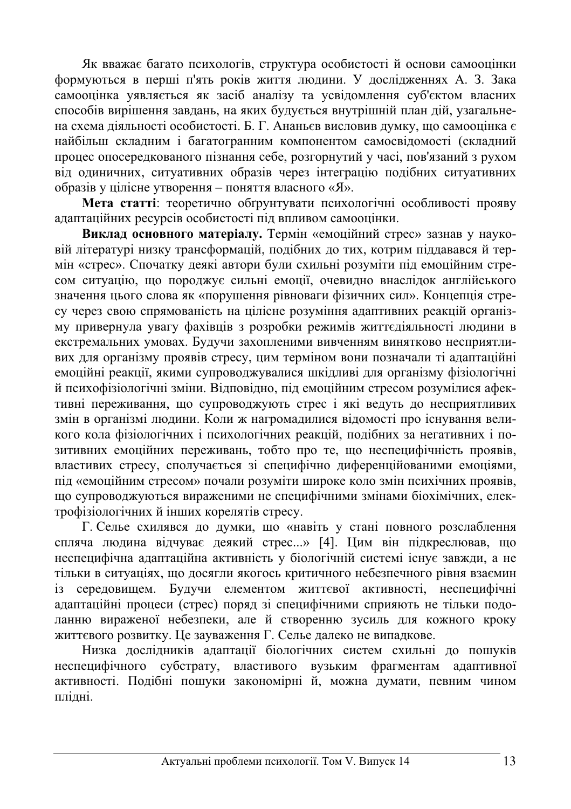Як вважає багато психологів, структура особистості й основи самооцінки формуються в перші п'ять років життя людини. У дослідженнях А. З. Зака самооцінка уявляється як засіб аналізу та усвіломлення суб'єктом власних способів вирішення завдань, на яких будується внутрішній план дій, узагальнена схема діяльності особистості. Б. Г. Ананьєв висловив думку, що самооцінка є найбільш складним і багатогранним компонентом самосвідомості (складний процес опосередкованого пізнання себе, розгорнутий у часі, пов'язаний з рухом від одиничних, ситуативних образів через інтеграцію подібних ситуативних  $\overline{\text{1}}$ образів у цілісне утворення – поняття власного «Я».

**Мета статті:** теоретично обтрунтувати психологічні особливості прояву адаптаційних ресурсів особистості під впливом самооцінки.

**Виклал основного матеріалу.** Термін «емоційний стрес» зазнав у науковій літературі низку трансформацій, подібних до тих, котрим піддавався й термін «стрес». Спочатку деякі автори були схильні розуміти під емоційним стресом ситуацію, що породжує сильні емоції, очевидно внаслідок англійського значення цього слова як «порушення рівноваги фізичних сил». Концепція стресу через свою спрямованість на цілісне розуміння адаптивних реакцій організму привернула увагу фахівців з розробки режимів життєдіяльності людини в • скстремальних умовах. Будучи захопленими вивченням винятково несприятливих для організму проявів стресу, цим терміном вони позначали ті адаптаційні емоційні реакції, якими супроводжувалися шкідливі для організму фізіологічні й психофізіологічні зміни. Відповідно, під емоційним стресом розумілися афективні переживання, що супроводжують стрес і які ведуть до несприятливих змін в організмі людини. Коли ж нагромадилися відомості про існування великого кола фізіологічних і психологічних реакцій, подібних за негативних і позитивних емоційних переживань, тобто про те, що неспецифічність проявів, властивих стресу, сполучається зі специфічно диференційованими емоціями, під «емоційним стресом» почали розуміти широке коло змін психічних проявів, що супроводжуються вираженими не специфічними змінами біохімічних, електрофізіологічних й інших корелятів стресу.

Г. Селье схилявся до думки, що «навіть у стані повного розслаблення спляча людина відчуває деякий стрес...» [4]. Цим він підкреслював, що неспецифічна адаптаційна активність у біологічній системі існує завжди, а не тільки в ситуаціях, що досягли якогось критичного небезпечного рівня взаємин із середовищем. Будучи елементом життєвої активності, неспецифічні адаптаційні процеси (стрес) поряд зі специфічними сприяють не тільки подоланню вираженої небезпеки, але й створенню зусиль для кожного кроку життєвого розвитку. Це зауваження Г. Селье далеко не випадкове.

Низка дослідників адаптації біологічних систем схильні до пошуків неспецифічного субстрату, властивого вузьким фрагментам адаптивної активності. Подібні пошуки закономірні й, можна думати, певним чином плілні.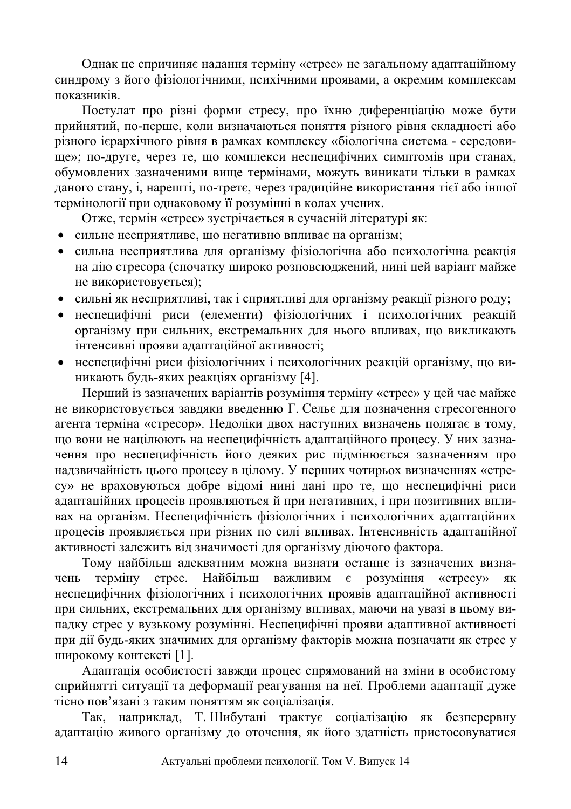Однак це спричиняє надання терміну «стрес» не загальному адаптаційному синдрому з його фізіологічними, психічними проявами, а окремим комплексам ποκaзникiв

Постулат про різні форми стресу, про їхню диференціацію може бути прийнятий, по-перше, коли визначаються поняття різного рівня складності або різного ієрархічного рівня в рамках комплексу «біологічна система - середови- $\mu$ ше»; по-друге, через те, що комплекси неспецифічних симптомів при станах, обумовлених зазначеними вище термінами, можуть виникати тільки в рамках даного стану, і, нарешті, по-третє, через традиційне використання тієї або іншої термінології при однаковому її розумінні в колах учених.

Отже, термін «стрес» зустрічається в сучасній літературі як:

- сильне несприятливе, що негативно впливає на організм;
- сильна несприятлива для організму фізіологічна або психологічна реакція на дію стресора (спочатку широко розповсюджений, нині цей варіант майже не використовується);
- сильні як несприятливі, так і сприятливі для організму реакції різного роду;
- неспецифічні риси (елементи) фізіологічних і психологічних реакцій організму при сильних, екстремальних для нього впливах, що викликають інтенсивні прояви адаптаційної активності;
- неспецифічні риси фізіологічних і психологічних реакцій організму, що виникають будь-яких реакціях організму [4].

Перший із зазначених варіантів розуміння терміну «стрес» у цей час майже не використовується завдяки введенню Г. Сельє для позначення стресогенного агента терміна «стресор». Недоліки двох наступних визначень полягає в тому, що вони не націлюють на неспецифічність адаптаційного процесу. У них зазначення про неспецифічність його деяких рис підмінюється зазначенням про надзвичайність цього процесу в цілому. У перших чотирьох визначеннях «стресу» не враховуються добре відомі нині дані про те, що неспецифічні риси адаптаційних процесів проявляються й при негативних, і при позитивних впливах на організм. Неспецифічність фізіологічних і психологічних адаптаційних процесів проявляється при різних по силі впливах. Інтенсивність адаптаційної активності залежить від значимості для організму діючого фактора.

Тому найбільш адекватним можна визнати останнє із зазначених визначень терміну стрес. Найбільш важливим є розуміння «стресу» як неспецифічних фізіологічних і психологічних проявів адаптаційної активності при сильних, екстремальних для організму впливах, маючи на увазі в цьому випадку стрес у вузькому розумінні. Неспецифічні прояви адаптивної активності при дії будь-яких значимих для організму факторів можна позначати як стрес у широкому контексті [1].

Адаптація особистості завжди процес спрямований на зміни в особистому сприйнятті ситуації та деформації реагування на неї. Проблеми адаптації дуже тісно пов'язані з таким поняттям як соціалізація.

Так, наприклад, Т. Шибутані трактує соціалізацію як безперервну адаптацію живого організму до оточення, як його здатність пристосовуватися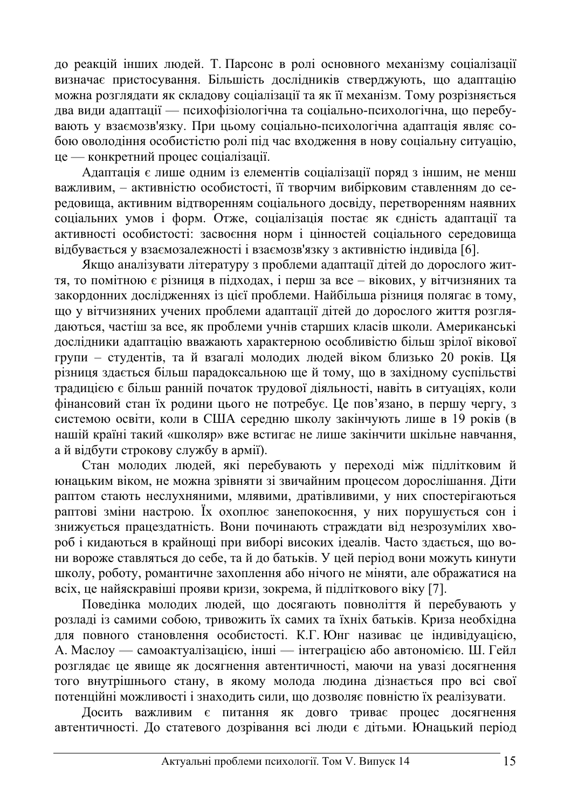до реакцій інших людей. Т. Парсонс в ролі основного механізму соціалізації визначає пристосування. Більшість дослідників стверджують, що адаптацію можна розглядати як складову соціалізації та як її механізм. Тому розрізняється два види алаптації — психофізіологічна та соціально-психологічна, що перебувають у взаємозв'язку. При цьому соціально-психологічна адаптація являє собою оволодіння особистістю ролі під час входження в нову соціальну ситуацію, це — конкретний процес соціалізації.

Адаптація є лише одним із елементів соціалізації поряд з іншим, не менш важливим, – активністю особистості, її творчим вибірковим ставленням до сереловиша, активним вілтворенням соціального лосвілу, перетворенням наявних соціальних умов і форм. Отже, соціалізація постає як єдність адаптації та активності особистості: засвоєння норм і пінностей сопіального сереловиша відбувається у взаємозалежності і взаємозв'язку з активністю індивіда [6].

Якщо аналізувати літературу з проблеми адаптації дітей до дорослого жит- $\tau$ я, то помітною є різниця в підходах, і перш за все – вікових, у вітчизняних та закордонних дослідженнях із цієї проблеми. Найбільша різниця полягає в тому, що у вітчизняних учених проблеми адаптації дітей до дорослого життя розглядаються, частіш за все, як проблеми учнів старших класів школи. Американські дослідники адаптацію вважають характерною особливістю більш зрілої вікової групи – стулентів, та й взагалі молодих людей віком близько 20 років. Ця різниця здається більш парадоксальною ще й тому, що в західному суспільстві традицією є більш ранній початок трудової діяльності, навіть в ситуаціях, коли фінансовий стан їх родини цього не потребує. Це пов'язано, в першу чергу, з системою освіти, коли в США середню школу закінчують лише в 19 років (в нашій країні такий «школяр» вже встигає не лише закінчити шкільне навчання, ай відбути строкову службу в армії).

Стан молодих людей, які перебувають у переході між підлітковим й юнацьким віком, не можна зрівняти зі звичайним процесом дорослішання. Діти раптом стають неслухняними, млявими, дратівливими, у них спостерігаються раптові зміни настрою. Їх охоплює занепокоєння, у них порушується сон і знижується працездатність. Вони починають страждати від незрозумілих хвороб і кидаються в крайнощі при виборі високих ідеалів. Часто здається, що вони вороже ставляться до себе, та й до батьків. У цей період вони можуть кинути школу, роботу, романтичне захоплення або нічого не міняти, але ображатися на всіх, це найяскравіші прояви кризи, зокрема, й підліткового віку [7].

Поведінка молодих людей, що досягають повноліття й перебувають у розладі із самими собою, тривожить їх самих та їхніх батьків. Криза необхідна для повного становлення особистості. К.Г. Юнг називає це індивідуацією, А. Маслоу — самоактуалізацією, інші — інтеграцією або автономією. Ш. Гейл розглядає це явище як досягнення автентичності, маючи на увазі досягнення того внутрішнього стану, в якому молода людина дізнається про всі свої потенційні можливості і знаходить сили, що дозволяє повністю їх реалізувати.

Досить важливим є питання як довго триває процес досягнення автентичності. До статевого дозрівання всі люди є дітьми. Юнацький період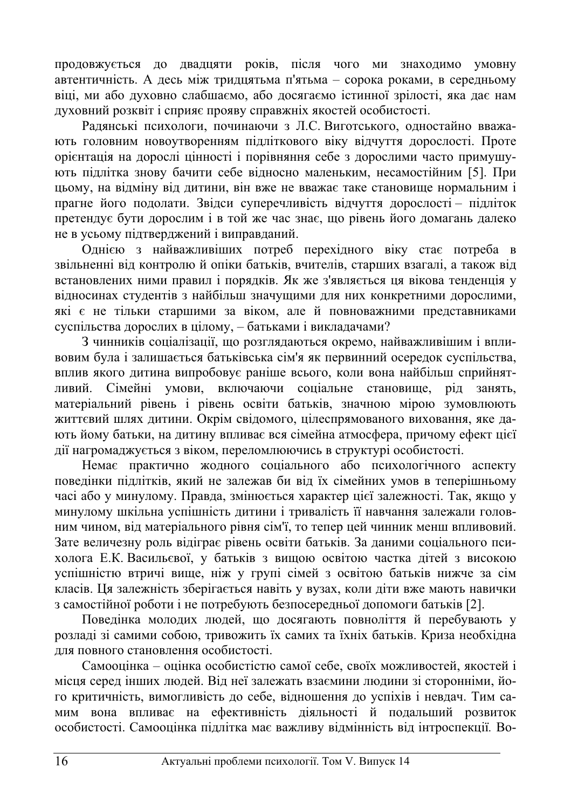проловжується до двадцяти років, після чого ми знаходимо умовну автентичність. А десь між тридцятьма п'ятьма – сорока роками, в середньому віці, ми або духовно слабшаємо, або досягаємо істинної зрілості, яка дає нам духовний розквіт і сприяє прояву справжніх якостей особистості.

Радянські психологи, починаючи з Л.С. Виготського, одностайно вважають головним новоутворенням підліткового віку відчуття дорослості. Проте орієнтація на дорослі цінності і порівняння себе з дорослими часто примушують підлітка знову бачити себе відносно маленьким, несамостійним [5]. При цьому, на відміну від дитини, він вже не вважає таке становище нормальним і прагне його подолати. Звідси суперечливість відчуття дорослості - підліток претендує бути дорослим і в той же час знає, що рівень його домагань далеко не в усьому підтверджений і виправданий.

Однією з найважливіших потреб перехідного віку стає потреба в звільненні від контролю й опіки батьків, вчителів, старших взагалі, а також від встановлених ними правил і порядків. Як же з'являється ця вікова тенденція у відносинах студентів з найбільш значущими для них конкретними дорослими, які є не тільки старшими за віком, але й повноважними представниками суспільства дорослих в цілому, – батьками і викладачами?

З чинників соціалізації, що розглядаються окремо, найважливішим і впливовим була і залишається батьківська сім'я як первинний осередок суспільства, вплив якого дитина випробовує раніше всього, коли вона найбільш сприйнятливий. Сімейні умови, включаючи соціальне становище, рід занять, матеріальний рівень і рівень освіти батьків, значною мірою зумовлюють життєвий шлях дитини. Окрім свідомого, цілеспрямованого виховання, яке дають йому батьки, на дитину впливає вся сімейна атмосфера, причому ефект цієї дії нагромаджується з віком, переломлюючись в структурі особистості.

Немає практично жолного соціального або психологічного аспекту поведінки підлітків, який не залежав би від їх сімейних умов в теперішньому часі або у минулому. Правда, змінюється характер цієї залежності. Так, якщо у минулому шкільна успішність дитини і тривалість її навчання залежали головним чином, від матеріального рівня сім'ї, то тепер цей чинник менш впливовий. Зате величезну роль відіграє рівень освіти батьків. За даними соціального психолога Е.К. Васильєвої, у батьків з вищою освітою частка дітей з високою успішністю втричі вище, ніж у групі сімей з освітою батьків нижче за сім класів. Ця залежність зберігається навіть у вузах, коли діти вже мають навички з самостійної роботи і не потребують безпосередньої допомоги батьків [2].

Поведінка молодих людей, що досягають повноліття й перебувають у розладі зі самими собою, тривожить їх самих та їхніх батьків. Криза необхідна для повного становлення особистості.

Самооцінка – оцінка особистістю самої себе, своїх можливостей, якостей і місця серед інших людей. Від неї залежать взаємини людини зі сторонніми, його критичність, вимогливість до себе, відношення до успіхів і невдач. Тим самим вона впливає на ефективність діяльності й подальший розвиток особистості. Самооцінка підлітка має важливу відмінність від інтроспекції. Во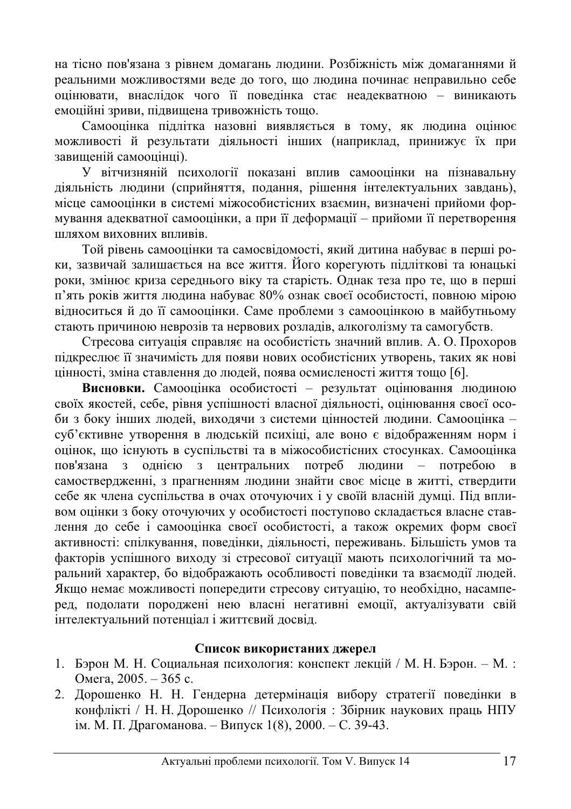на тісно пов'язана з рівнем домагань людини. Розбіжність між домаганнями й реальними можливостями веде до того, що людина починає неправильно себе опінювати, внаслілок чого її повелінка стає неалекватною – виникають емоційні зриви, підвищена тривожність тощо.

Самооцінка підлітка назовні виявляється в тому, як людина оцінює можливості й результати діяльності інших (наприклад, принижує їх при завишеній самоопінці).

У вітчизняній психології показані вплив самооцінки на пізнавальну діяльність людини (сприйняття, подання, рішення інтелектуальних завдань), місце самооцінки в системі міжособистісних взаємин, визначені прийоми формування адекватної самооцінки, а при її деформації – прийоми її перетворення шляхом виховних впливів.

Той рівень самооцінки та самосвідомості, який дитина набуває в перші роки, зазвичай залишається на все життя. Його корегують підліткові та юнацькі роки, змінює криза середнього віку та старість. Однак теза про те, що в перші п'ять років життя людина набуває 80% ознак своєї особистості, повною мірою відноситься й до її самооцінки. Саме проблеми з самооцінкою в майбутньому стають причиною неврозів та нервових розладів, алкоголізму та самогубств.

Стресова ситуація справляє на особистість значний вплив. А. О. Прохоров пілкреслює її значимість для появи нових особистісних утворень, таких як нові цінності, зміна ставлення до людей, поява осмисленості життя тощо [6].

Висновки. Самооцінка особистості – результат оцінювання людиною своїх якостей, себе, рівня успішності власної діяльності, оцінювання своєї особи з боку інших людей, виходячи з системи цінностей людини. Самооцінка суб'єктивне утворення в людській психіці, але воно є відображенням норм і оцінок, що існують в суспільстві та в міжособистісних стосунках. Самооцінка пов'язана з однією з центральних потреб людини – потребою в самоствердженні, з прагненням людини знайти своє місце в житті, ствердити себе як члена суспільства в очах оточуючих і у своїй власній думці. Під впливом оцінки з боку оточуючих у особистості поступово складається власне ставлення до себе і самооцінка своєї особистості, а також окремих форм своєї активності: спілкування, поведінки, діяльності, переживань. Більшість умов та факторів успішного виходу зі стресової ситуації мають психологічний та моральний характер, бо відображають особливості поведінки та взаємодії людей. Якщо немає можливості попередити стресову ситуацію, то необхідно, насамперед, подолати породжені нею власні негативні емоції, актуалізувати свій інтелектуальний потенціал і життєвий досвід.

## Список використаних джерел

- 1. Бэрон М. Н. Социальная психология: конспект лекцій / М. Н. Бэрон. М.: Омега, 2005. – 365 с.
- 2. Дорошенко Н. Н. Гендерна детермінація вибору стратегії поведінки в конфлікті / Н. Н. Дорошенко // Психологія: Збірник наукових праць НПУ ім. М. П. Драгоманова. – Випуск 1(8), 2000. – С. 39-43.